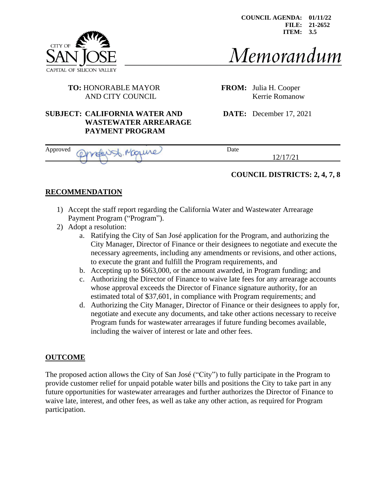**COUNCIL AGENDA: 01/11/22 FILE: 21-2652 ITEM: 3.5**



# Memorandum

# **TO:** HONORABLE MAYOR **FROM:** Julia H. Cooper

**WASTEWATER ARREARAGE**

**PAYMENT PROGRAM**

AND CITY COUNCIL Kerrie Romanow

**SUBJECT: CALIFORNIA WATER AND DATE:** December 17, 2021

| Approved | <b>Contract</b> | Date |  |
|----------|-----------------|------|--|
|          |                 |      |  |

## **COUNCIL DISTRICTS: 2, 4, 7, 8**

#### **RECOMMENDATION**

- 1) Accept the staff report regarding the California Water and Wastewater Arrearage Payment Program ("Program").
- 2) Adopt a resolution:
	- a. Ratifying the City of San José application for the Program, and authorizing the City Manager, Director of Finance or their designees to negotiate and execute the necessary agreements, including any amendments or revisions, and other actions, to execute the grant and fulfill the Program requirements, and
	- b. Accepting up to \$663,000, or the amount awarded, in Program funding; and
	- c. Authorizing the Director of Finance to waive late fees for any arrearage accounts whose approval exceeds the Director of Finance signature authority, for an estimated total of \$37,601, in compliance with Program requirements; and
	- d. Authorizing the City Manager, Director of Finance or their designees to apply for, negotiate and execute any documents, and take other actions necessary to receive Program funds for wastewater arrearages if future funding becomes available, including the waiver of interest or late and other fees.

#### **OUTCOME**

The proposed action allows the City of San José ("City") to fully participate in the Program to provide customer relief for unpaid potable water bills and positions the City to take part in any future opportunities for wastewater arrearages and further authorizes the Director of Finance to waive late, interest, and other fees, as well as take any other action, as required for Program participation.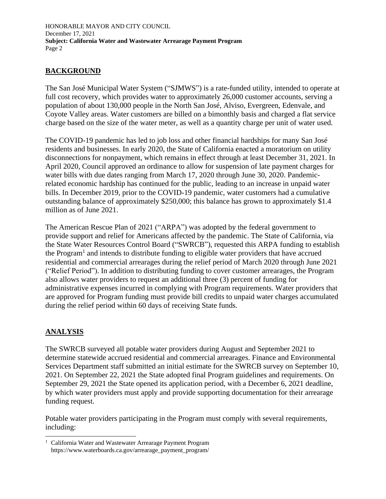HONORABLE MAYOR AND CITY COUNCIL December 17, 2021 **Subject: California Water and Wastewater Arrearage Payment Program** Page 2

#### **BACKGROUND**

The San José Municipal Water System ("SJMWS") is a rate-funded utility, intended to operate at full cost recovery, which provides water to approximately 26,000 customer accounts, serving a population of about 130,000 people in the North San José, Alviso, Evergreen, Edenvale, and Coyote Valley areas. Water customers are billed on a bimonthly basis and charged a flat service charge based on the size of the water meter, as well as a quantity charge per unit of water used.

The COVID-19 pandemic has led to job loss and other financial hardships for many San José residents and businesses. In early 2020, the State of California enacted a moratorium on utility disconnections for nonpayment, which remains in effect through at least December 31, 2021. In April 2020, Council approved an ordinance to allow for suspension of late payment charges for water bills with due dates ranging from March 17, 2020 through June 30, 2020. Pandemicrelated economic hardship has continued for the public, leading to an increase in unpaid water bills. In December 2019, prior to the COVID-19 pandemic, water customers had a cumulative outstanding balance of approximately \$250,000; this balance has grown to approximately \$1.4 million as of June 2021.

The American Rescue Plan of 2021 ("ARPA") was adopted by the federal government to provide support and relief for Americans affected by the pandemic. The State of California, via the State Water Resources Control Board ("SWRCB"), requested this ARPA funding to establish the Program<sup>1</sup> and intends to distribute funding to eligible water providers that have accrued residential and commercial arrearages during the relief period of March 2020 through June 2021 ("Relief Period"). In addition to distributing funding to cover customer arrearages, the Program also allows water providers to request an additional three (3) percent of funding for administrative expenses incurred in complying with Program requirements. Water providers that are approved for Program funding must provide bill credits to unpaid water charges accumulated during the relief period within 60 days of receiving State funds.

#### **ANALYSIS**

The SWRCB surveyed all potable water providers during August and September 2021 to determine statewide accrued residential and commercial arrearages. Finance and Environmental Services Department staff submitted an initial estimate for the SWRCB survey on September 10, 2021. On September 22, 2021 the State adopted final Program guidelines and requirements. On September 29, 2021 the State opened its application period, with a December 6, 2021 deadline, by which water providers must apply and provide supporting documentation for their arrearage funding request.

Potable water providers participating in the Program must comply with several requirements, including:

<sup>&</sup>lt;sup>1</sup> California Water and Wastewater Arrearage Payment Program https://www.waterboards.ca.gov/arrearage\_payment\_program/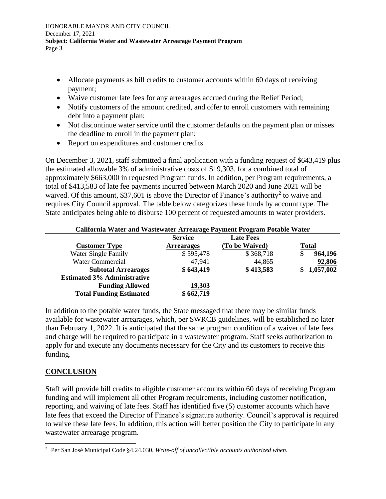- Allocate payments as bill credits to customer accounts within 60 days of receiving payment;
- Waive customer late fees for any arrearages accrued during the Relief Period;
- Notify customers of the amount credited, and offer to enroll customers with remaining debt into a payment plan;
- Not discontinue water service until the customer defaults on the payment plan or misses the deadline to enroll in the payment plan;
- Report on expenditures and customer credits.

On December 3, 2021, staff submitted a final application with a funding request of \$643,419 plus the estimated allowable 3% of administrative costs of \$19,303, for a combined total of approximately \$663,000 in requested Program funds. In addition, per Program requirements, a total of \$413,583 of late fee payments incurred between March 2020 and June 2021 will be waived. Of this amount, \$37,601 is above the Director of Finance's authority<sup>2</sup> to waive and requires City Council approval. The table below categorizes these funds by account type. The State anticipates being able to disburse 100 percent of requested amounts to water providers.

| California Water and Wastewater Arrearage Payment Program Potable Water |                   |                  |               |  |  |
|-------------------------------------------------------------------------|-------------------|------------------|---------------|--|--|
|                                                                         | <b>Service</b>    | <b>Late Fees</b> |               |  |  |
| <b>Customer Type</b>                                                    | <b>Arrearages</b> | (To be Waived)   | <b>Total</b>  |  |  |
| Water Single Family                                                     | \$595,478         | \$368,718        | 964,196<br>\$ |  |  |
| <b>Water Commercial</b>                                                 | 47,941            | 44,865           | 92,806        |  |  |
| <b>Subtotal Arrearages</b>                                              | \$643,419         | \$413,583        | 1,057,002     |  |  |
| <b>Estimated 3% Administrative</b>                                      |                   |                  |               |  |  |
| <b>Funding Allowed</b>                                                  | 19,303            |                  |               |  |  |
| <b>Total Funding Estimated</b>                                          | \$662,719         |                  |               |  |  |

In addition to the potable water funds, the State messaged that there may be similar funds available for wastewater arrearages, which, per SWRCB guidelines, will be established no later than February 1, 2022. It is anticipated that the same program condition of a waiver of late fees and charge will be required to participate in a wastewater program. Staff seeks authorization to apply for and execute any documents necessary for the City and its customers to receive this funding.

#### **CONCLUSION**

Staff will provide bill credits to eligible customer accounts within 60 days of receiving Program funding and will implement all other Program requirements, including customer notification, reporting, and waiving of late fees. Staff has identified five (5) customer accounts which have late fees that exceed the Director of Finance's signature authority. Council's approval is required to waive these late fees. In addition, this action will better position the City to participate in any wastewater arrearage program.

<sup>2</sup> Per San José Municipal Code §4.24.030, *Write-off of uncollectible accounts authorized when*.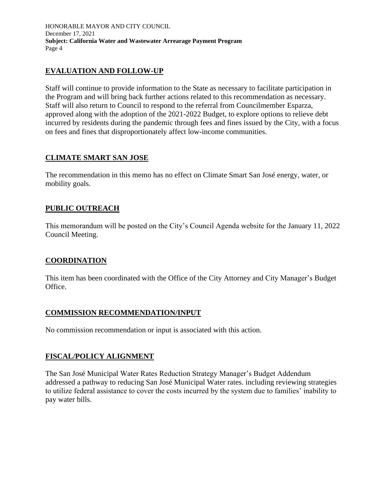HONORABLE MAYOR AND CITY COUNCIL December 17, 2021 **Subject: California Water and Wastewater Arrearage Payment Program** Page 4

#### **EVALUATION AND FOLLOW-UP**

Staff will continue to provide information to the State as necessary to facilitate participation in the Program and will bring back further actions related to this recommendation as necessary. Staff will also return to Council to respond to the referral from Councilmember Esparza, approved along with the adoption of the 2021-2022 Budget, to explore options to relieve debt incurred by residents during the pandemic through fees and fines issued by the City, with a focus on fees and fines that disproportionately affect low-income communities.

#### **CLIMATE SMART SAN JOSE**

The recommendation in this memo has no effect on Climate Smart San José energy, water, or mobility goals.

#### **PUBLIC OUTREACH**

This memorandum will be posted on the City's Council Agenda website for the January 11, 2022 Council Meeting.

#### **COORDINATION**

This item has been coordinated with the Office of the City Attorney and City Manager's Budget Office.

#### **COMMISSION RECOMMENDATION/INPUT**

No commission recommendation or input is associated with this action.

## **FISCAL/POLICY ALIGNMENT**

The San José Municipal Water Rates Reduction Strategy Manager's Budget Addendum addressed a pathway to reducing San José Municipal Water rates. including reviewing strategies to utilize federal assistance to cover the costs incurred by the system due to families' inability to pay water bills.